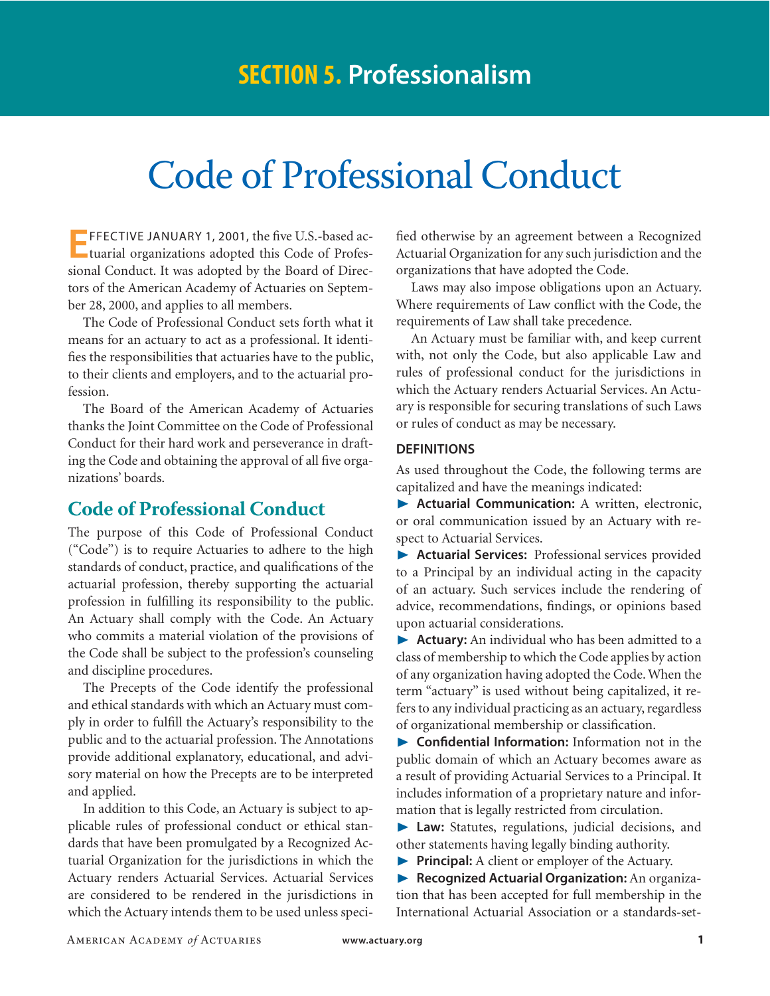# Code of Professional Conduct

**EFFECTIVE JANUARY 1, 2001, the five U.S.-based actuarial organizations adopted this Code of Profes**sional Conduct. It was adopted by the Board of Directors of the American Academy of Actuaries on September 28, 2000, and applies to all members.

The Code of Professional Conduct sets forth what it means for an actuary to act as a professional. It identifies the responsibilities that actuaries have to the public, to their clients and employers, and to the actuarial profession.

The Board of the American Academy of Actuaries thanks the Joint Committee on the Code of Professional Conduct for their hard work and perseverance in drafting the Code and obtaining the approval of all five organizations' boards.

#### **Code of Professional Conduct**

The purpose of this Code of Professional Conduct ("Code") is to require Actuaries to adhere to the high standards of conduct, practice, and qualifications of the actuarial profession, thereby supporting the actuarial profession in fulfilling its responsibility to the public. An Actuary shall comply with the Code. An Actuary who commits a material violation of the provisions of the Code shall be subject to the profession's counseling and discipline procedures.

The Precepts of the Code identify the professional and ethical standards with which an Actuary must comply in order to fulfill the Actuary's responsibility to the public and to the actuarial profession. The Annotations provide additional explanatory, educational, and advisory material on how the Precepts are to be interpreted and applied.

In addition to this Code, an Actuary is subject to applicable rules of professional conduct or ethical standards that have been promulgated by a Recognized Actuarial Organization for the jurisdictions in which the Actuary renders Actuarial Services. Actuarial Services are considered to be rendered in the jurisdictions in which the Actuary intends them to be used unless specified otherwise by an agreement between a Recognized Actuarial Organization for any such jurisdiction and the organizations that have adopted the Code.

Laws may also impose obligations upon an Actuary. Where requirements of Law conflict with the Code, the requirements of Law shall take precedence.

An Actuary must be familiar with, and keep current with, not only the Code, but also applicable Law and rules of professional conduct for the jurisdictions in which the Actuary renders Actuarial Services. An Actuary is responsible for securing translations of such Laws or rules of conduct as may be necessary.

#### **Definitions**

As used throughout the Code, the following terms are capitalized and have the meanings indicated:

® **Actuarial Communication:** A written, electronic, or oral communication issued by an Actuary with respect to Actuarial Services.

® **Actuarial Services:** Professional services provided to a Principal by an individual acting in the capacity of an actuary. Such services include the rendering of advice, recommendations, findings, or opinions based upon actuarial considerations.

® **Actuary:** An individual who has been admitted to a class of membership to which the Code applies by action of any organization having adopted the Code. When the term "actuary" is used without being capitalized, it refers to any individual practicing as an actuary, regardless of organizational membership or classification.

® **Confidential Information:** Information not in the public domain of which an Actuary becomes aware as a result of providing Actuarial Services to a Principal. It includes information of a proprietary nature and information that is legally restricted from circulation.

® **Law:** Statutes, regulations, judicial decisions, and other statements having legally binding authority.

**Principal:** A client or employer of the Actuary.

® **Recognized Actuarial Organization:** An organization that has been accepted for full membership in the International Actuarial Association or a standards-set-

American Academy *of* Actuaries **www.actuary.org 1**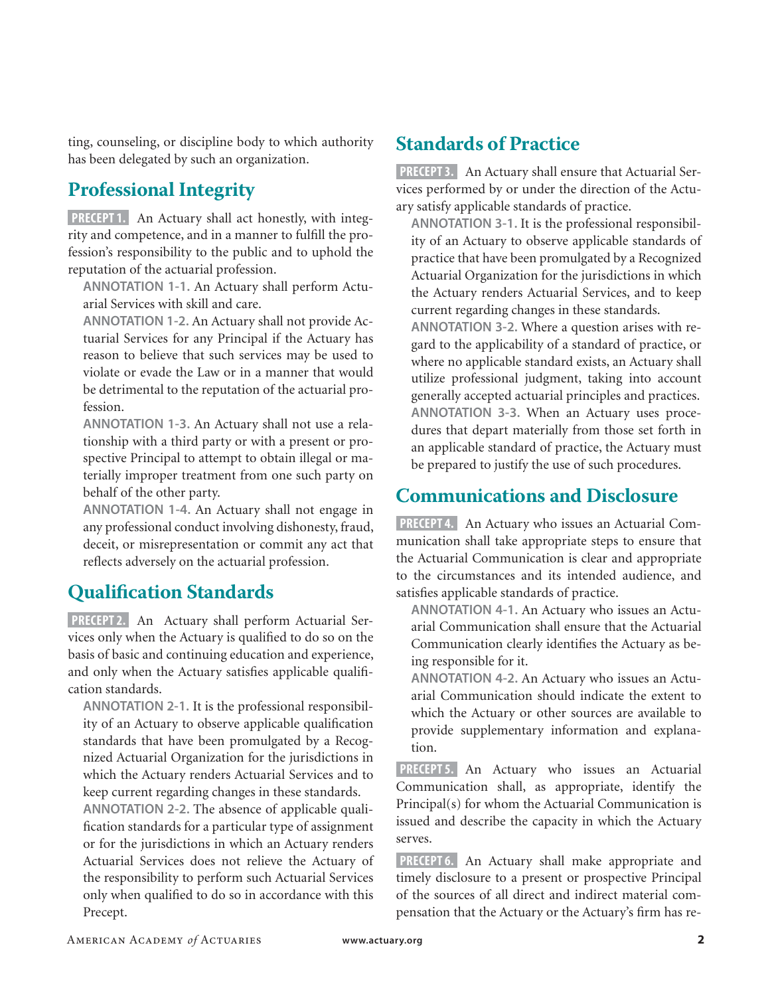ting, counseling, or discipline body to which authority has been delegated by such an organization.

# **Professional Integrity**

**PRECEPT 1.** An Actuary shall act honestly, with integrity and competence, and in a manner to fulfill the profession's responsibility to the public and to uphold the reputation of the actuarial profession.

**ANNOTATION 1-1.** An Actuary shall perform Actuarial Services with skill and care.

**ANNOTATION 1-2.** An Actuary shall not provide Actuarial Services for any Principal if the Actuary has reason to believe that such services may be used to violate or evade the Law or in a manner that would be detrimental to the reputation of the actuarial profession.

**ANNOTATION 1-3.** An Actuary shall not use a relationship with a third party or with a present or prospective Principal to attempt to obtain illegal or materially improper treatment from one such party on behalf of the other party.

**ANNOTATION 1-4.** An Actuary shall not engage in any professional conduct involving dishonesty, fraud, deceit, or misrepresentation or commit any act that reflects adversely on the actuarial profession.

## **Qualification Standards**

**PRECEPT 2.** An Actuary shall perform Actuarial Services only when the Actuary is qualified to do so on the basis of basic and continuing education and experience, and only when the Actuary satisfies applicable qualification standards.

**ANNOTATION 2-1.** It is the professional responsibility of an Actuary to observe applicable qualification standards that have been promulgated by a Recognized Actuarial Organization for the jurisdictions in which the Actuary renders Actuarial Services and to keep current regarding changes in these standards.

**ANNOTATION 2-2.** The absence of applicable qualification standards for a particular type of assignment or for the jurisdictions in which an Actuary renders Actuarial Services does not relieve the Actuary of the responsibility to perform such Actuarial Services only when qualified to do so in accordance with this Precept.

## **Standards of Practice**

**PRECEPT 3.** An Actuary shall ensure that Actuarial Services performed by or under the direction of the Actuary satisfy applicable standards of practice.

**ANNOTATION 3-1.** It is the professional responsibility of an Actuary to observe applicable standards of practice that have been promulgated by a Recognized Actuarial Organization for the jurisdictions in which the Actuary renders Actuarial Services, and to keep current regarding changes in these standards.

**ANNOTATION 3-2.** Where a question arises with regard to the applicability of a standard of practice, or where no applicable standard exists, an Actuary shall utilize professional judgment, taking into account generally accepted actuarial principles and practices. **ANNOTATION 3-3.** When an Actuary uses procedures that depart materially from those set forth in an applicable standard of practice, the Actuary must be prepared to justify the use of such procedures.

#### **Communications and Disclosure**

**PRECEPT 4.** An Actuary who issues an Actuarial Communication shall take appropriate steps to ensure that the Actuarial Communication is clear and appropriate to the circumstances and its intended audience, and satisfies applicable standards of practice.

**ANNOTATION 4-1.** An Actuary who issues an Actuarial Communication shall ensure that the Actuarial Communication clearly identifies the Actuary as being responsible for it.

**ANNOTATION 4-2.** An Actuary who issues an Actuarial Communication should indicate the extent to which the Actuary or other sources are available to provide supplementary information and explanation.

**PRECEPT 5.** An Actuary who issues an Actuarial Communication shall, as appropriate, identify the Principal(s) for whom the Actuarial Communication is issued and describe the capacity in which the Actuary serves.

**PRECEPT6.** An Actuary shall make appropriate and timely disclosure to a present or prospective Principal of the sources of all direct and indirect material compensation that the Actuary or the Actuary's firm has re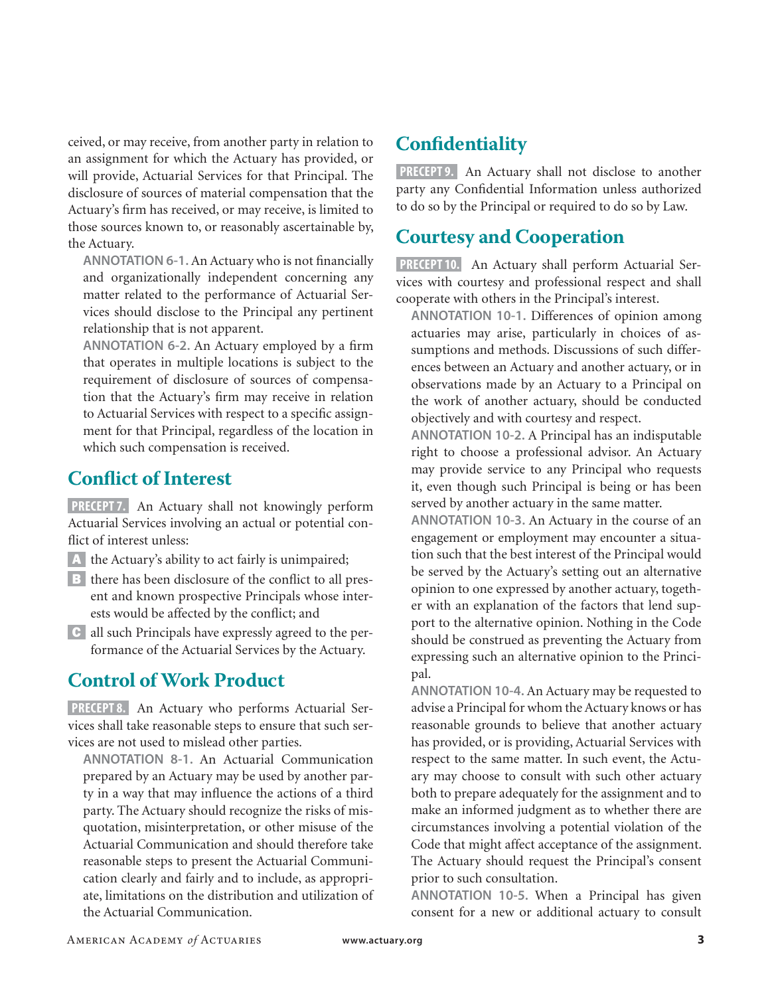ceived, or may receive, from another party in relation to an assignment for which the Actuary has provided, or will provide, Actuarial Services for that Principal. The disclosure of sources of material compensation that the Actuary's firm has received, or may receive, is limited to those sources known to, or reasonably ascertainable by, the Actuary.

**ANNOTATION 6-1.** An Actuary who is not financially and organizationally independent concerning any matter related to the performance of Actuarial Services should disclose to the Principal any pertinent relationship that is not apparent.

**ANNOTATION 6-2.** An Actuary employed by a firm that operates in multiple locations is subject to the requirement of disclosure of sources of compensation that the Actuary's firm may receive in relation to Actuarial Services with respect to a specific assignment for that Principal, regardless of the location in which such compensation is received.

## **Conflict of Interest**

**PRECEPT7.** An Actuary shall not knowingly perform Actuarial Services involving an actual or potential conflict of interest unless:

- A the Actuary's ability to act fairly is unimpaired;
- **B** there has been disclosure of the conflict to all present and known prospective Principals whose interests would be affected by the conflict; and
- c all such Principals have expressly agreed to the performance of the Actuarial Services by the Actuary.

## **Control of Work Product**

**PRECEPT 8.** An Actuary who performs Actuarial Services shall take reasonable steps to ensure that such services are not used to mislead other parties.

**ANNOTATION 8-1.** An Actuarial Communication prepared by an Actuary may be used by another party in a way that may influence the actions of a third party. The Actuary should recognize the risks of misquotation, misinterpretation, or other misuse of the Actuarial Communication and should therefore take reasonable steps to present the Actuarial Communication clearly and fairly and to include, as appropriate, limitations on the distribution and utilization of the Actuarial Communication.

# **Confidentiality**

**PRECEPT 9.** An Actuary shall not disclose to another party any Confidential Information unless authorized to do so by the Principal or required to do so by Law.

# **Courtesy and Cooperation**

**PRECEPT 10.** An Actuary shall perform Actuarial Services with courtesy and professional respect and shall cooperate with others in the Principal's interest.

**ANNOTATION 10-1.** Differences of opinion among actuaries may arise, particularly in choices of assumptions and methods. Discussions of such differences between an Actuary and another actuary, or in observations made by an Actuary to a Principal on the work of another actuary, should be conducted objectively and with courtesy and respect.

**ANNOTATION 10-2.** A Principal has an indisputable right to choose a professional advisor. An Actuary may provide service to any Principal who requests it, even though such Principal is being or has been served by another actuary in the same matter.

**ANNOTATION 10-3.** An Actuary in the course of an engagement or employment may encounter a situation such that the best interest of the Principal would be served by the Actuary's setting out an alternative opinion to one expressed by another actuary, together with an explanation of the factors that lend support to the alternative opinion. Nothing in the Code should be construed as preventing the Actuary from expressing such an alternative opinion to the Principal.

**ANNOTATION 10-4.** An Actuary may be requested to advise a Principal for whom the Actuary knows or has reasonable grounds to believe that another actuary has provided, or is providing, Actuarial Services with respect to the same matter. In such event, the Actuary may choose to consult with such other actuary both to prepare adequately for the assignment and to make an informed judgment as to whether there are circumstances involving a potential violation of the Code that might affect acceptance of the assignment. The Actuary should request the Principal's consent prior to such consultation.

**ANNOTATION 10-5.** When a Principal has given consent for a new or additional actuary to consult